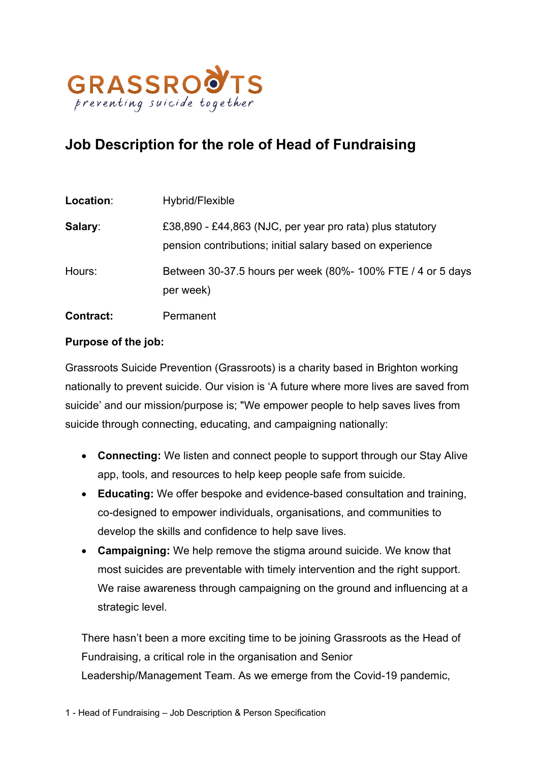

# **Job Description for the role of Head of Fundraising**

| Location:        | Hybrid/Flexible                                                                                                        |
|------------------|------------------------------------------------------------------------------------------------------------------------|
| Salary:          | £38,890 - £44,863 (NJC, per year pro rata) plus statutory<br>pension contributions; initial salary based on experience |
| Hours:           | Between 30-37.5 hours per week (80%- 100% FTE / 4 or 5 days<br>per week)                                               |
| <b>Contract:</b> | Permanent                                                                                                              |

### **Purpose of the job:**

Grassroots Suicide Prevention (Grassroots) is a charity based in Brighton working nationally to prevent suicide. Our vision is 'A future where more lives are saved from suicide' and our mission/purpose is; "We empower people to help saves lives from suicide through connecting, educating, and campaigning nationally:

- **Connecting:** We listen and connect people to support through our Stay Alive app, tools, and resources to help keep people safe from suicide.
- **Educating:** We offer bespoke and evidence-based consultation and training, co-designed to empower individuals, organisations, and communities to develop the skills and confidence to help save lives.
- **Campaigning:** We help remove the stigma around suicide. We know that most suicides are preventable with timely intervention and the right support. We raise awareness through campaigning on the ground and influencing at a strategic level.

There hasn't been a more exciting time to be joining Grassroots as the Head of Fundraising, a critical role in the organisation and Senior Leadership/Management Team. As we emerge from the Covid-19 pandemic,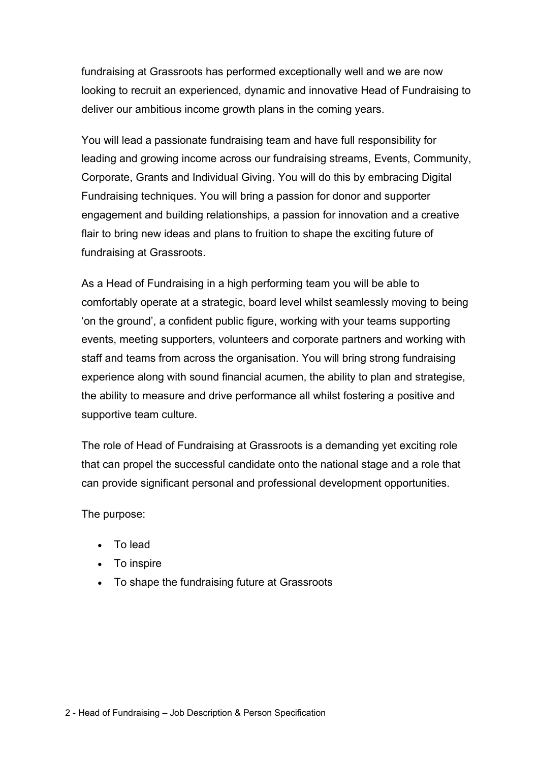fundraising at Grassroots has performed exceptionally well and we are now looking to recruit an experienced, dynamic and innovative Head of Fundraising to deliver our ambitious income growth plans in the coming years.

You will lead a passionate fundraising team and have full responsibility for leading and growing income across our fundraising streams, Events, Community, Corporate, Grants and Individual Giving. You will do this by embracing Digital Fundraising techniques. You will bring a passion for donor and supporter engagement and building relationships, a passion for innovation and a creative flair to bring new ideas and plans to fruition to shape the exciting future of fundraising at Grassroots.

As a Head of Fundraising in a high performing team you will be able to comfortably operate at a strategic, board level whilst seamlessly moving to being 'on the ground', a confident public figure, working with your teams supporting events, meeting supporters, volunteers and corporate partners and working with staff and teams from across the organisation. You will bring strong fundraising experience along with sound financial acumen, the ability to plan and strategise, the ability to measure and drive performance all whilst fostering a positive and supportive team culture.

The role of Head of Fundraising at Grassroots is a demanding yet exciting role that can propel the successful candidate onto the national stage and a role that can provide significant personal and professional development opportunities.

The purpose:

- To lead
- To inspire
- To shape the fundraising future at Grassroots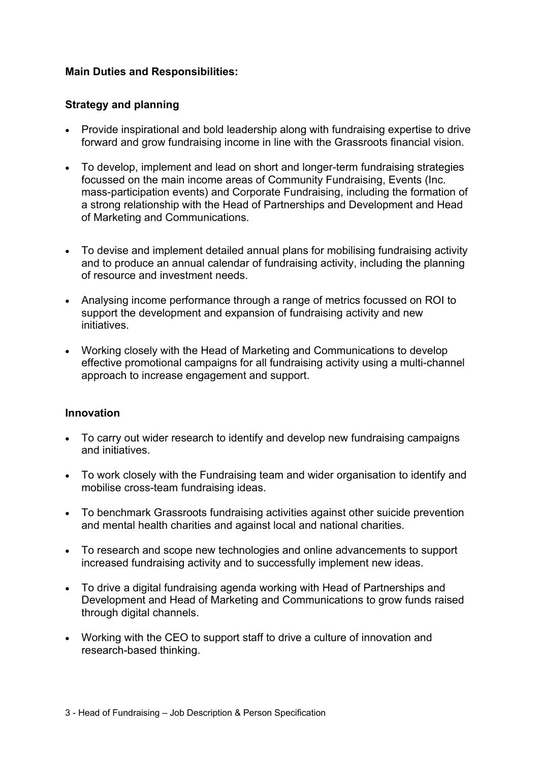## **Main Duties and Responsibilities:**

### **Strategy and planning**

- Provide inspirational and bold leadership along with fundraising expertise to drive forward and grow fundraising income in line with the Grassroots financial vision.
- To develop, implement and lead on short and longer-term fundraising strategies focussed on the main income areas of Community Fundraising, Events (Inc. mass-participation events) and Corporate Fundraising, including the formation of a strong relationship with the Head of Partnerships and Development and Head of Marketing and Communications.
- To devise and implement detailed annual plans for mobilising fundraising activity and to produce an annual calendar of fundraising activity, including the planning of resource and investment needs.
- Analysing income performance through a range of metrics focussed on ROI to support the development and expansion of fundraising activity and new initiatives.
- Working closely with the Head of Marketing and Communications to develop effective promotional campaigns for all fundraising activity using a multi-channel approach to increase engagement and support.

### **Innovation**

- To carry out wider research to identify and develop new fundraising campaigns and initiatives.
- To work closely with the Fundraising team and wider organisation to identify and mobilise cross-team fundraising ideas.
- To benchmark Grassroots fundraising activities against other suicide prevention and mental health charities and against local and national charities.
- To research and scope new technologies and online advancements to support increased fundraising activity and to successfully implement new ideas.
- To drive a digital fundraising agenda working with Head of Partnerships and Development and Head of Marketing and Communications to grow funds raised through digital channels.
- Working with the CEO to support staff to drive a culture of innovation and research-based thinking.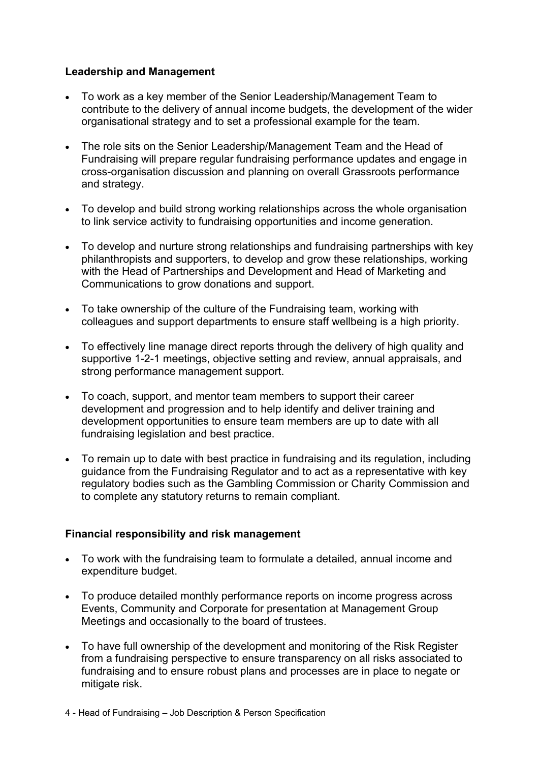## **Leadership and Management**

- To work as a key member of the Senior Leadership/Management Team to contribute to the delivery of annual income budgets, the development of the wider organisational strategy and to set a professional example for the team.
- The role sits on the Senior Leadership/Management Team and the Head of Fundraising will prepare regular fundraising performance updates and engage in cross-organisation discussion and planning on overall Grassroots performance and strategy.
- To develop and build strong working relationships across the whole organisation to link service activity to fundraising opportunities and income generation.
- To develop and nurture strong relationships and fundraising partnerships with key philanthropists and supporters, to develop and grow these relationships, working with the Head of Partnerships and Development and Head of Marketing and Communications to grow donations and support.
- To take ownership of the culture of the Fundraising team, working with colleagues and support departments to ensure staff wellbeing is a high priority.
- To effectively line manage direct reports through the delivery of high quality and supportive 1-2-1 meetings, objective setting and review, annual appraisals, and strong performance management support.
- To coach, support, and mentor team members to support their career development and progression and to help identify and deliver training and development opportunities to ensure team members are up to date with all fundraising legislation and best practice.
- To remain up to date with best practice in fundraising and its regulation, including guidance from the Fundraising Regulator and to act as a representative with key regulatory bodies such as the Gambling Commission or Charity Commission and to complete any statutory returns to remain compliant.

# **Financial responsibility and risk management**

- To work with the fundraising team to formulate a detailed, annual income and expenditure budget.
- To produce detailed monthly performance reports on income progress across Events, Community and Corporate for presentation at Management Group Meetings and occasionally to the board of trustees.
- To have full ownership of the development and monitoring of the Risk Register from a fundraising perspective to ensure transparency on all risks associated to fundraising and to ensure robust plans and processes are in place to negate or mitigate risk.
- 4 Head of Fundraising Job Description & Person Specification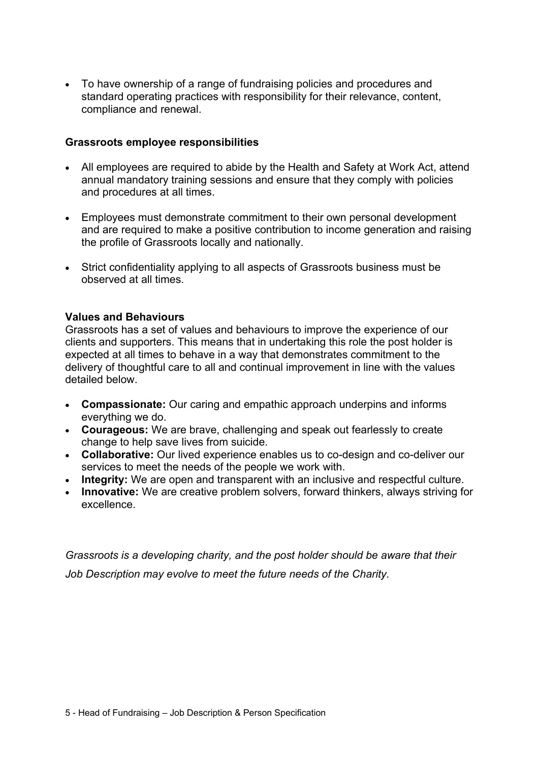• To have ownership of a range of fundraising policies and procedures and standard operating practices with responsibility for their relevance, content, compliance and renewal.

#### **Grassroots employee responsibilities**

- All employees are required to abide by the Health and Safety at Work Act, attend annual mandatory training sessions and ensure that they comply with policies and procedures at all times.
- Employees must demonstrate commitment to their own personal development and are required to make a positive contribution to income generation and raising the profile of Grassroots locally and nationally.
- Strict confidentiality applying to all aspects of Grassroots business must be observed at all times.

#### **Values and Behaviours**

Grassroots has a set of values and behaviours to improve the experience of our clients and supporters. This means that in undertaking this role the post holder is expected at all times to behave in a way that demonstrates commitment to the delivery of thoughtful care to all and continual improvement in line with the values detailed below.

- **Compassionate:** Our caring and empathic approach underpins and informs everything we do.
- **Courageous:** We are brave, challenging and speak out fearlessly to create change to help save lives from suicide.
- **Collaborative:** Our lived experience enables us to co-design and co-deliver our services to meet the needs of the people we work with.
- **Integrity:** We are open and transparent with an inclusive and respectful culture.
- **Innovative:** We are creative problem solvers, forward thinkers, always striving for excellence.

*Grassroots is a developing charity, and the post holder should be aware that their Job Description may evolve to meet the future needs of the Charity.*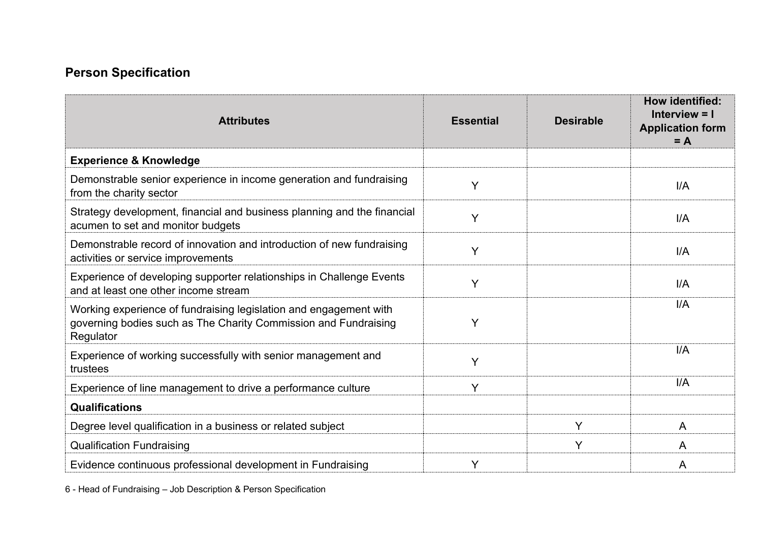# **Person Specification**

| <b>Attributes</b>                                                                                                                                 | <b>Essential</b> | <b>Desirable</b> | How identified:<br>Interview $= 1$<br><b>Application form</b><br>$= A$ |
|---------------------------------------------------------------------------------------------------------------------------------------------------|------------------|------------------|------------------------------------------------------------------------|
| <b>Experience &amp; Knowledge</b>                                                                                                                 |                  |                  |                                                                        |
| Demonstrable senior experience in income generation and fundraising<br>from the charity sector                                                    | Y                |                  | I/A                                                                    |
| Strategy development, financial and business planning and the financial<br>acumen to set and monitor budgets                                      | Y                |                  | I/A                                                                    |
| Demonstrable record of innovation and introduction of new fundraising<br>activities or service improvements                                       | Y                |                  | I/A                                                                    |
| Experience of developing supporter relationships in Challenge Events<br>and at least one other income stream                                      | Y                |                  | I/A                                                                    |
| Working experience of fundraising legislation and engagement with<br>governing bodies such as The Charity Commission and Fundraising<br>Regulator | Y                |                  | I/A                                                                    |
| Experience of working successfully with senior management and<br>trustees                                                                         | Y                |                  | I/A                                                                    |
| Experience of line management to drive a performance culture                                                                                      | Y                |                  | I/A                                                                    |
| <b>Qualifications</b>                                                                                                                             |                  |                  |                                                                        |
| Degree level qualification in a business or related subject                                                                                       |                  | Y                | A                                                                      |
| <b>Qualification Fundraising</b>                                                                                                                  |                  | Y                | A                                                                      |
| Evidence continuous professional development in Fundraising                                                                                       | Y                |                  | A                                                                      |

6 - Head of Fundraising – Job Description & Person Specification